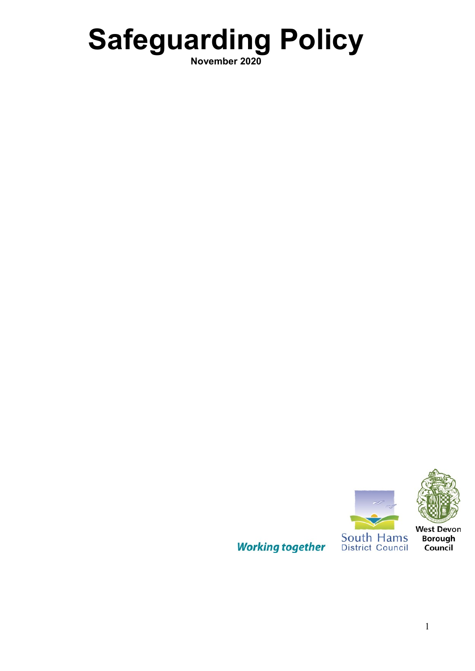# **Safeguarding Policy**

**November 2020**

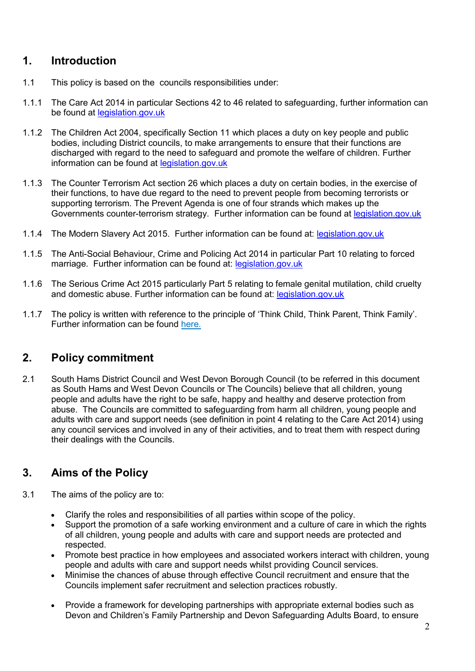# **1. Introduction**

- 1.1 This policy is based on the councils responsibilities under:
- 1.1.1 The Care Act 2014 in particular Sections 42 to 46 related to safeguarding, further information can be found at [legislation.gov.uk](http://www.legislation.gov.uk/ukpga/2014/23/contents/enacted)
- 1.1.2 The Children Act 2004, specifically Section 11 which places a duty on key people and public bodies, including District councils, to make arrangements to ensure that their functions are discharged with regard to the need to safeguard and promote the welfare of children. Further information can be found at [legislation.gov.uk](http://www.legislation.gov.uk/ukpga/2004/31/contents)
- 1.1.3 The Counter Terrorism Act section 26 which places a duty on certain bodies, in the exercise of their functions, to have due regard to the need to prevent people from becoming terrorists or supporting terrorism. The Prevent Agenda is one of four strands which makes up the Governments counter-terrorism strategy. Further information can be found at [legislation.gov.uk](http://www.legislation.gov.uk/ukpga/2015/6/contents)
- 1.1.4 The Modern Slavery Act 2015. Further information can be found at: [legislation.gov.uk](http://www.legislation.gov.uk/ukpga/2015/30/contents/enacted)
- 1.1.5 The Anti-Social Behaviour, Crime and Policing Act 2014 in particular Part 10 relating to forced marriage. Further information can be found at: [legislation.gov.uk](http://www.legislation.gov.uk/ukpga/2014/12/contents/enacted)
- 1.1.6 The Serious Crime Act 2015 particularly Part 5 relating to female genital mutilation, child cruelty and domestic abuse. Further information can be found at: [legislation.gov.uk](http://www.legislation.gov.uk/ukpga/2015/9/contents/enacted)
- 1.1.7 The policy is written with reference to the principle of 'Think Child, Think Parent, Think Family'. Further information can be found [here.](http://www.publichealth.hscni.net/publications/think-child-think-parent-think-family-0)

# **2. Policy commitment**

2.1 South Hams District Council and West Devon Borough Council (to be referred in this document as South Hams and West Devon Councils or The Councils) believe that all children, young people and adults have the right to be safe, happy and healthy and deserve protection from abuse. The Councils are committed to safeguarding from harm all children, young people and adults with care and support needs (see definition in point 4 relating to the Care Act 2014) using any council services and involved in any of their activities, and to treat them with respect during their dealings with the Councils.

# **3. Aims of the Policy**

- 3.1 The aims of the policy are to:
	- Clarify the roles and responsibilities of all parties within scope of the policy.
	- Support the promotion of a safe working environment and a culture of care in which the rights of all children, young people and adults with care and support needs are protected and respected.
	- Promote best practice in how employees and associated workers interact with children, young people and adults with care and support needs whilst providing Council services.
	- Minimise the chances of abuse through effective Council recruitment and ensure that the Councils implement safer recruitment and selection practices robustly.
	- Provide a framework for developing partnerships with appropriate external bodies such as Devon and Children's Family Partnership and Devon Safeguarding Adults Board, to ensure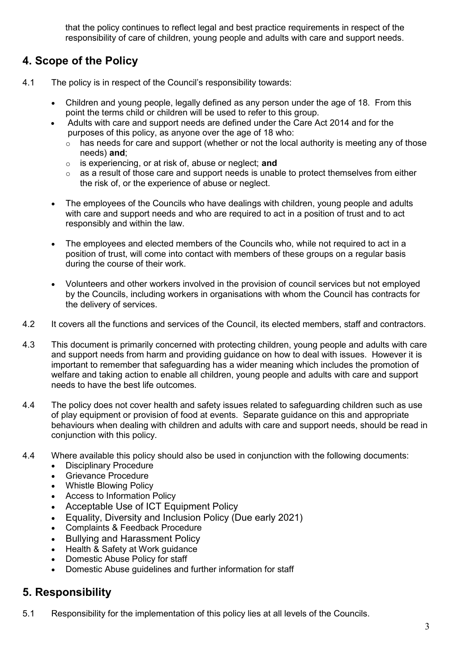that the policy continues to reflect legal and best practice requirements in respect of the responsibility of care of children, young people and adults with care and support needs.

# **4. Scope of the Policy**

- 4.1 The policy is in respect of the Council's responsibility towards:
	- Children and young people, legally defined as any person under the age of 18. From this point the terms child or children will be used to refer to this group.
	- Adults with care and support needs are defined under the Care Act 2014 and for the purposes of this policy, as anyone over the age of 18 who:
		- $\circ$  has needs for care and support (whether or not the local authority is meeting any of those needs) **and**;
		- o is experiencing, or at risk of, abuse or neglect; **and**
		- $\circ$  as a result of those care and support needs is unable to protect themselves from either the risk of, or the experience of abuse or neglect.
	- The employees of the Councils who have dealings with children, young people and adults with care and support needs and who are required to act in a position of trust and to act responsibly and within the law.
	- The employees and elected members of the Councils who, while not required to act in a position of trust, will come into contact with members of these groups on a regular basis during the course of their work.
	- Volunteers and other workers involved in the provision of council services but not employed by the Councils, including workers in organisations with whom the Council has contracts for the delivery of services.
- 4.2 It covers all the functions and services of the Council, its elected members, staff and contractors.
- 4.3 This document is primarily concerned with protecting children, young people and adults with care and support needs from harm and providing guidance on how to deal with issues. However it is important to remember that safeguarding has a wider meaning which includes the promotion of welfare and taking action to enable all children, young people and adults with care and support needs to have the best life outcomes.
- 4.4 The policy does not cover health and safety issues related to safeguarding children such as use of play equipment or provision of food at events. Separate guidance on this and appropriate behaviours when dealing with children and adults with care and support needs, should be read in conjunction with this policy.
- 4.4 Where available this policy should also be used in conjunction with the following documents:
	- Disciplinary Procedure
	- Grievance Procedure
	- Whistle Blowing Policy
	- Access to Information Policy
	- Acceptable Use of ICT Equipment Policy
	- Equality, Diversity and Inclusion Policy (Due early 2021)
	- Complaints & Feedback Procedure
	- Bullying and Harassment Policy
	- Health & Safety at Work guidance
	- Domestic Abuse Policy for staff
	- Domestic Abuse guidelines and further information for staff

# **5. Responsibility**

5.1 Responsibility for the implementation of this policy lies at all levels of the Councils.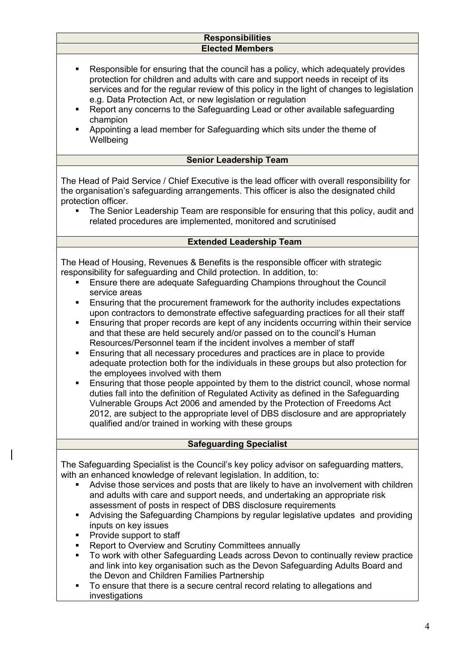#### **Responsibilities Elected Members**

- Responsible for ensuring that the council has a policy, which adequately provides protection for children and adults with care and support needs in receipt of its services and for the regular review of this policy in the light of changes to legislation e.g. Data Protection Act, or new legislation or regulation
- Report any concerns to the Safeguarding Lead or other available safeguarding champion
- Appointing a lead member for Safeguarding which sits under the theme of **Wellbeing**

#### **Senior Leadership Team**

The Head of Paid Service / Chief Executive is the lead officer with overall responsibility for the organisation's safeguarding arrangements. This officer is also the designated child protection officer.

 The Senior Leadership Team are responsible for ensuring that this policy, audit and related procedures are implemented, monitored and scrutinised

#### **Extended Leadership Team**

The Head of Housing, Revenues & Benefits is the responsible officer with strategic responsibility for safeguarding and Child protection. In addition, to:

- Ensure there are adequate Safeguarding Champions throughout the Council service areas
- Ensuring that the procurement framework for the authority includes expectations upon contractors to demonstrate effective safeguarding practices for all their staff
- Ensuring that proper records are kept of any incidents occurring within their service and that these are held securely and/or passed on to the council's Human Resources/Personnel team if the incident involves a member of staff
- Ensuring that all necessary procedures and practices are in place to provide adequate protection both for the individuals in these groups but also protection for the employees involved with them
- Ensuring that those people appointed by them to the district council, whose normal duties fall into the definition of Regulated Activity as defined in the Safeguarding Vulnerable Groups Act 2006 and amended by the Protection of Freedoms Act 2012, are subject to the appropriate level of DBS disclosure and are appropriately qualified and/or trained in working with these groups

#### **Safeguarding Specialist**

The Safeguarding Specialist is the Council's key policy advisor on safeguarding matters, with an enhanced knowledge of relevant legislation. In addition, to:

- Advise those services and posts that are likely to have an involvement with children and adults with care and support needs, and undertaking an appropriate risk assessment of posts in respect of DBS disclosure requirements
- Advising the Safeguarding Champions by regular legislative updates and providing inputs on key issues
- Provide support to staff
- Report to Overview and Scrutiny Committees annually
- To work with other Safeguarding Leads across Devon to continually review practice and link into key organisation such as the Devon Safeguarding Adults Board and the Devon and Children Families Partnership
- To ensure that there is a secure central record relating to allegations and investigations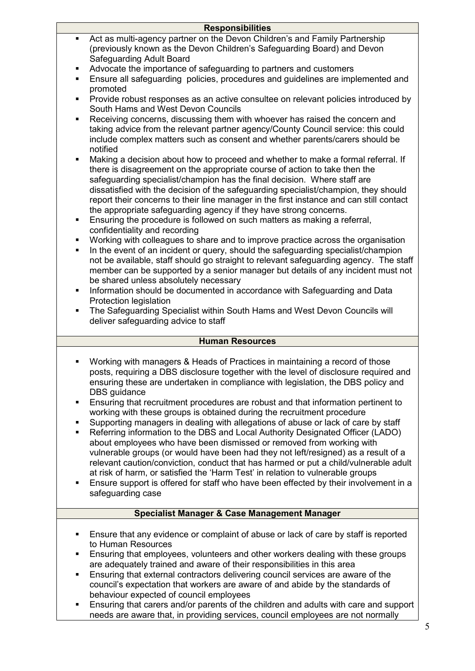|                | <b>Responsibilities</b>                                                                                                                                                                                                                                                                                                                                                                                                                                                                                                                                                                                                                                                                                                                                                                                                                                                                                                                                                                                                                                                                                                                                                                            |
|----------------|----------------------------------------------------------------------------------------------------------------------------------------------------------------------------------------------------------------------------------------------------------------------------------------------------------------------------------------------------------------------------------------------------------------------------------------------------------------------------------------------------------------------------------------------------------------------------------------------------------------------------------------------------------------------------------------------------------------------------------------------------------------------------------------------------------------------------------------------------------------------------------------------------------------------------------------------------------------------------------------------------------------------------------------------------------------------------------------------------------------------------------------------------------------------------------------------------|
|                | Act as multi-agency partner on the Devon Children's and Family Partnership<br>(previously known as the Devon Children's Safeguarding Board) and Devon<br><b>Safeguarding Adult Board</b>                                                                                                                                                                                                                                                                                                                                                                                                                                                                                                                                                                                                                                                                                                                                                                                                                                                                                                                                                                                                           |
| ٠              | Advocate the importance of safeguarding to partners and customers                                                                                                                                                                                                                                                                                                                                                                                                                                                                                                                                                                                                                                                                                                                                                                                                                                                                                                                                                                                                                                                                                                                                  |
|                | Ensure all safeguarding policies, procedures and guidelines are implemented and<br>promoted                                                                                                                                                                                                                                                                                                                                                                                                                                                                                                                                                                                                                                                                                                                                                                                                                                                                                                                                                                                                                                                                                                        |
|                | Provide robust responses as an active consultee on relevant policies introduced by<br>South Hams and West Devon Councils                                                                                                                                                                                                                                                                                                                                                                                                                                                                                                                                                                                                                                                                                                                                                                                                                                                                                                                                                                                                                                                                           |
| $\blacksquare$ | Receiving concerns, discussing them with whoever has raised the concern and<br>taking advice from the relevant partner agency/County Council service: this could<br>include complex matters such as consent and whether parents/carers should be<br>notified                                                                                                                                                                                                                                                                                                                                                                                                                                                                                                                                                                                                                                                                                                                                                                                                                                                                                                                                       |
| ٠<br>٠         | Making a decision about how to proceed and whether to make a formal referral. If<br>there is disagreement on the appropriate course of action to take then the<br>safeguarding specialist/champion has the final decision. Where staff are<br>dissatisfied with the decision of the safeguarding specialist/champion, they should<br>report their concerns to their line manager in the first instance and can still contact<br>the appropriate safeguarding agency if they have strong concerns.<br>Ensuring the procedure is followed on such matters as making a referral,<br>confidentiality and recording<br>Working with colleagues to share and to improve practice across the organisation<br>In the event of an incident or query, should the safeguarding specialist/champion<br>not be available, staff should go straight to relevant safeguarding agency. The staff<br>member can be supported by a senior manager but details of any incident must not<br>be shared unless absolutely necessary<br>Information should be documented in accordance with Safeguarding and Data<br>Protection legislation<br>The Safeguarding Specialist within South Hams and West Devon Councils will |
|                | deliver safeguarding advice to staff                                                                                                                                                                                                                                                                                                                                                                                                                                                                                                                                                                                                                                                                                                                                                                                                                                                                                                                                                                                                                                                                                                                                                               |
|                | <b>Human Resources</b>                                                                                                                                                                                                                                                                                                                                                                                                                                                                                                                                                                                                                                                                                                                                                                                                                                                                                                                                                                                                                                                                                                                                                                             |
|                | Working with managers & Heads of Practices in maintaining a record of those<br>posts, requiring a DBS disclosure together with the level of disclosure required and<br>ensuring these are undertaken in compliance with legislation, the DBS policy and<br>DBS guidance                                                                                                                                                                                                                                                                                                                                                                                                                                                                                                                                                                                                                                                                                                                                                                                                                                                                                                                            |
| $\blacksquare$ | Ensuring that recruitment procedures are robust and that information pertinent to<br>working with these groups is obtained during the recruitment procedure                                                                                                                                                                                                                                                                                                                                                                                                                                                                                                                                                                                                                                                                                                                                                                                                                                                                                                                                                                                                                                        |
| п<br>٠         | Supporting managers in dealing with allegations of abuse or lack of care by staff<br>Referring information to the DBS and Local Authority Designated Officer (LADO)<br>about employees who have been dismissed or removed from working with<br>vulnerable groups (or would have been had they not left/resigned) as a result of a<br>relevant caution/conviction, conduct that has harmed or put a child/vulnerable adult<br>at risk of harm, or satisfied the 'Harm Test' in relation to vulnerable groups                                                                                                                                                                                                                                                                                                                                                                                                                                                                                                                                                                                                                                                                                        |

 Ensure support is offered for staff who have been effected by their involvement in a safeguarding case

#### **Specialist Manager & Case Management Manager**

- **Ensure that any evidence or complaint of abuse or lack of care by staff is reported** to Human Resources
- **Ensuring that employees, volunteers and other workers dealing with these groups** are adequately trained and aware of their responsibilities in this area
- Ensuring that external contractors delivering council services are aware of the council's expectation that workers are aware of and abide by the standards of behaviour expected of council employees
- Ensuring that carers and/or parents of the children and adults with care and support needs are aware that, in providing services, council employees are not normally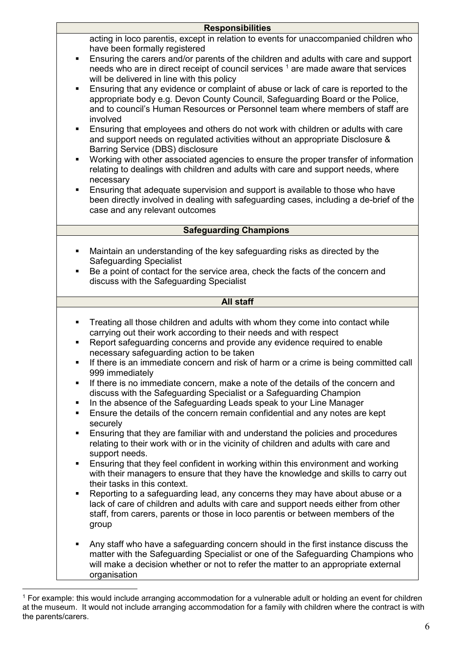| <b>Responsibilities</b>                                                                |                                                                                                                                                                                                                                                                                                                                                                                                                                                                                                                                                                                                                                                                                                                                                                                                                                                                                                                                                                                                                                                                                                                                                                                                                                                                                                                                                                                             |  |
|----------------------------------------------------------------------------------------|---------------------------------------------------------------------------------------------------------------------------------------------------------------------------------------------------------------------------------------------------------------------------------------------------------------------------------------------------------------------------------------------------------------------------------------------------------------------------------------------------------------------------------------------------------------------------------------------------------------------------------------------------------------------------------------------------------------------------------------------------------------------------------------------------------------------------------------------------------------------------------------------------------------------------------------------------------------------------------------------------------------------------------------------------------------------------------------------------------------------------------------------------------------------------------------------------------------------------------------------------------------------------------------------------------------------------------------------------------------------------------------------|--|
| $\blacksquare$<br>$\blacksquare$<br>$\blacksquare$<br>$\blacksquare$<br>$\blacksquare$ | acting in loco parentis, except in relation to events for unaccompanied children who<br>have been formally registered<br>Ensuring the carers and/or parents of the children and adults with care and support<br>needs who are in direct receipt of council services <sup>1</sup> are made aware that services<br>will be delivered in line with this policy<br>Ensuring that any evidence or complaint of abuse or lack of care is reported to the<br>appropriate body e.g. Devon County Council, Safeguarding Board or the Police,<br>and to council's Human Resources or Personnel team where members of staff are<br>involved<br>Ensuring that employees and others do not work with children or adults with care<br>and support needs on regulated activities without an appropriate Disclosure &<br>Barring Service (DBS) disclosure<br>Working with other associated agencies to ensure the proper transfer of information<br>relating to dealings with children and adults with care and support needs, where<br>necessary<br>Ensuring that adequate supervision and support is available to those who have<br>been directly involved in dealing with safeguarding cases, including a de-brief of the<br>case and any relevant outcomes                                                                                                                                              |  |
|                                                                                        | <b>Safeguarding Champions</b>                                                                                                                                                                                                                                                                                                                                                                                                                                                                                                                                                                                                                                                                                                                                                                                                                                                                                                                                                                                                                                                                                                                                                                                                                                                                                                                                                               |  |
| $\blacksquare$<br>٠                                                                    | Maintain an understanding of the key safeguarding risks as directed by the<br><b>Safeguarding Specialist</b><br>Be a point of contact for the service area, check the facts of the concern and<br>discuss with the Safeguarding Specialist                                                                                                                                                                                                                                                                                                                                                                                                                                                                                                                                                                                                                                                                                                                                                                                                                                                                                                                                                                                                                                                                                                                                                  |  |
|                                                                                        | <b>All staff</b>                                                                                                                                                                                                                                                                                                                                                                                                                                                                                                                                                                                                                                                                                                                                                                                                                                                                                                                                                                                                                                                                                                                                                                                                                                                                                                                                                                            |  |
| ٠<br>٠<br>$\blacksquare$<br>$\blacksquare$<br>٠<br>٠<br>٠<br>$\blacksquare$<br>٠       | Treating all those children and adults with whom they come into contact while<br>carrying out their work according to their needs and with respect<br>Report safeguarding concerns and provide any evidence required to enable<br>necessary safeguarding action to be taken<br>If there is an immediate concern and risk of harm or a crime is being committed call<br>999 immediately<br>If there is no immediate concern, make a note of the details of the concern and<br>discuss with the Safeguarding Specialist or a Safeguarding Champion<br>In the absence of the Safeguarding Leads speak to your Line Manager<br>Ensure the details of the concern remain confidential and any notes are kept<br>securely<br>Ensuring that they are familiar with and understand the policies and procedures<br>relating to their work with or in the vicinity of children and adults with care and<br>support needs.<br>Ensuring that they feel confident in working within this environment and working<br>with their managers to ensure that they have the knowledge and skills to carry out<br>their tasks in this context.<br>Reporting to a safeguarding lead, any concerns they may have about abuse or a<br>lack of care of children and adults with care and support needs either from other<br>staff, from carers, parents or those in loco parentis or between members of the<br>group |  |
| $\blacksquare$                                                                         | Any staff who have a safeguarding concern should in the first instance discuss the<br>matter with the Safeguarding Specialist or one of the Safeguarding Champions who<br>will make a decision whether or not to refer the matter to an appropriate external<br>organisation                                                                                                                                                                                                                                                                                                                                                                                                                                                                                                                                                                                                                                                                                                                                                                                                                                                                                                                                                                                                                                                                                                                |  |

 $\overline{a}$ <sup>1</sup> For example: this would include arranging accommodation for a vulnerable adult or holding an event for children at the museum. It would not include arranging accommodation for a family with children where the contract is with the parents/carers.